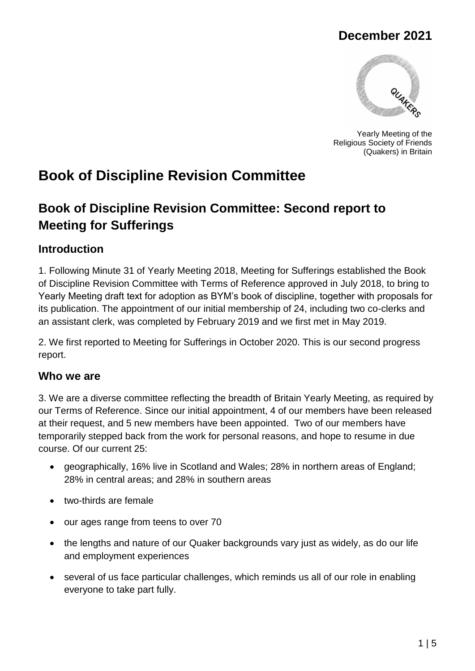## **December 2021**



Yearly Meeting of the Religious Society of Friends (Quakers) in Britain

# **Book of Discipline Revision Committee**

## **Book of Discipline Revision Committee: Second report to Meeting for Sufferings**

## **Introduction**

1. Following Minute 31 of Yearly Meeting 2018, Meeting for Sufferings established the Book of Discipline Revision Committee with Terms of Reference approved in July 2018, to bring to Yearly Meeting draft text for adoption as BYM's book of discipline, together with proposals for its publication. The appointment of our initial membership of 24, including two co-clerks and an assistant clerk, was completed by February 2019 and we first met in May 2019.

2. We first reported to Meeting for Sufferings in October 2020. This is our second progress report.

## **Who we are**

3. We are a diverse committee reflecting the breadth of Britain Yearly Meeting, as required by our Terms of Reference. Since our initial appointment, 4 of our members have been released at their request, and 5 new members have been appointed. Two of our members have temporarily stepped back from the work for personal reasons, and hope to resume in due course. Of our current 25:

- geographically, 16% live in Scotland and Wales; 28% in northern areas of England; 28% in central areas; and 28% in southern areas
- two-thirds are female
- our ages range from teens to over 70
- the lengths and nature of our Quaker backgrounds vary just as widely, as do our life and employment experiences
- several of us face particular challenges, which reminds us all of our role in enabling everyone to take part fully.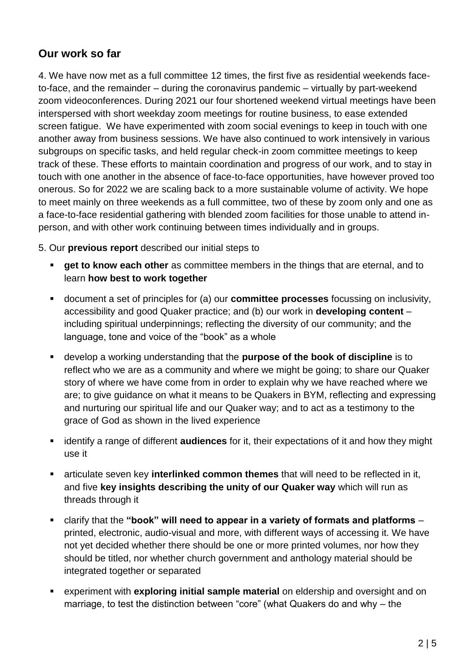## **Our work so far**

4. We have now met as a full committee 12 times, the first five as residential weekends faceto-face, and the remainder – during the coronavirus pandemic – virtually by part-weekend zoom videoconferences. During 2021 our four shortened weekend virtual meetings have been interspersed with short weekday zoom meetings for routine business, to ease extended screen fatigue. We have experimented with zoom social evenings to keep in touch with one another away from business sessions. We have also continued to work intensively in various subgroups on specific tasks, and held regular check-in zoom committee meetings to keep track of these. These efforts to maintain coordination and progress of our work, and to stay in touch with one another in the absence of face-to-face opportunities, have however proved too onerous. So for 2022 we are scaling back to a more sustainable volume of activity. We hope to meet mainly on three weekends as a full committee, two of these by zoom only and one as a face-to-face residential gathering with blended zoom facilities for those unable to attend inperson, and with other work continuing between times individually and in groups.

5. Our **previous report** described our initial steps to

- **get to know each other** as committee members in the things that are eternal, and to learn **how best to work together**
- document a set of principles for (a) our **committee processes** focussing on inclusivity, accessibility and good Quaker practice; and (b) our work in **developing content** – including spiritual underpinnings; reflecting the diversity of our community; and the language, tone and voice of the "book" as a whole
- develop a working understanding that the **purpose of the book of discipline** is to reflect who we are as a community and where we might be going; to share our Quaker story of where we have come from in order to explain why we have reached where we are; to give guidance on what it means to be Quakers in BYM, reflecting and expressing and nurturing our spiritual life and our Quaker way; and to act as a testimony to the grace of God as shown in the lived experience
- identify a range of different **audiences** for it, their expectations of it and how they might use it
- articulate seven key **interlinked common themes** that will need to be reflected in it, and five **key insights describing the unity of our Quaker way** which will run as threads through it
- clarify that the **"book" will need to appear in a variety of formats and platforms** printed, electronic, audio-visual and more, with different ways of accessing it. We have not yet decided whether there should be one or more printed volumes, nor how they should be titled, nor whether church government and anthology material should be integrated together or separated
- experiment with **exploring initial sample material** on eldership and oversight and on marriage, to test the distinction between "core" (what Quakers do and why – the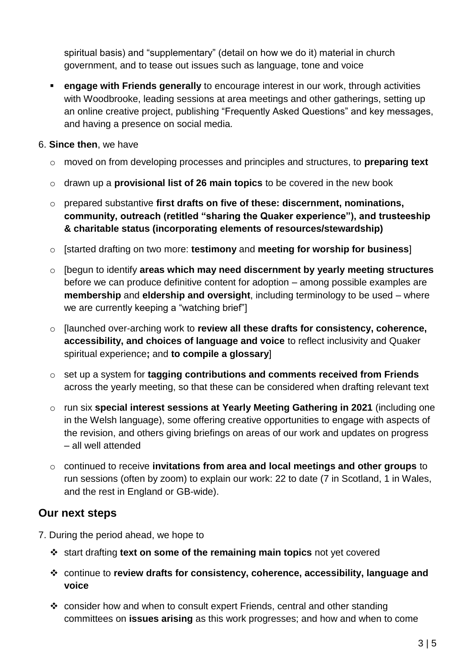spiritual basis) and "supplementary" (detail on how we do it) material in church government, and to tease out issues such as language, tone and voice

**EXECTE: engage with Friends generally** to encourage interest in our work, through activities with Woodbrooke, leading sessions at area meetings and other gatherings, setting up an online creative project, publishing "Frequently Asked Questions" and key messages, and having a presence on social media.

#### 6. **Since then**, we have

- o moved on from developing processes and principles and structures, to **preparing text**
- o drawn up a **provisional list of 26 main topics** to be covered in the new book
- o prepared substantive **first drafts on five of these: discernment, nominations, community, outreach (retitled "sharing the Quaker experience"), and trusteeship & charitable status (incorporating elements of resources/stewardship)**
- o [started drafting on two more: **testimony** and **meeting for worship for business**]
- o [begun to identify **areas which may need discernment by yearly meeting structures** before we can produce definitive content for adoption – among possible examples are **membership** and **eldership and oversight**, including terminology to be used – where we are currently keeping a "watching brief"]
- o [launched over-arching work to **review all these drafts for consistency, coherence, accessibility, and choices of language and voice** to reflect inclusivity and Quaker spiritual experience**;** and **to compile a glossary**]
- o set up a system for **tagging contributions and comments received from Friends**  across the yearly meeting, so that these can be considered when drafting relevant text
- o run six **special interest sessions at Yearly Meeting Gathering in 2021** (including one in the Welsh language), some offering creative opportunities to engage with aspects of the revision, and others giving briefings on areas of our work and updates on progress – all well attended
- o continued to receive **invitations from area and local meetings and other groups** to run sessions (often by zoom) to explain our work: 22 to date (7 in Scotland, 1 in Wales, and the rest in England or GB-wide).

## **Our next steps**

- 7. During the period ahead, we hope to
	- start drafting **text on some of the remaining main topics** not yet covered
	- continue to **review drafts for consistency, coherence, accessibility, language and voice**
	- consider how and when to consult expert Friends, central and other standing committees on **issues arising** as this work progresses; and how and when to come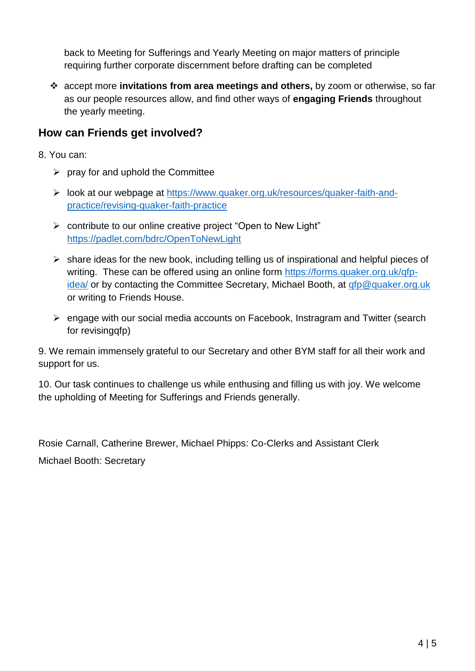back to Meeting for Sufferings and Yearly Meeting on major matters of principle requiring further corporate discernment before drafting can be completed

 accept more **invitations from area meetings and others,** by zoom or otherwise, so far as our people resources allow, and find other ways of **engaging Friends** throughout the yearly meeting.

## **How can Friends get involved?**

- 8. You can:
	- $\triangleright$  pray for and uphold the Committee
	- look at our webpage at [https://www.quaker.org.uk/resources/quaker-faith-and](https://www.quaker.org.uk/resources/quaker-faith-and-practice/revising-quaker-faith-practice)[practice/revising-quaker-faith-practice](https://www.quaker.org.uk/resources/quaker-faith-and-practice/revising-quaker-faith-practice)
	- contribute to our online creative project "Open to New Light" <https://padlet.com/bdrc/OpenToNewLight>
	- $\triangleright$  share ideas for the new book, including telling us of inspirational and helpful pieces of writing. These can be offered using an online form [https://forms.quaker.org.uk/qfp](https://forms.quaker.org.uk/qfp-idea/)[idea/](https://forms.quaker.org.uk/qfp-idea/) or by contacting the Committee Secretary, Michael Booth, at [qfp@quaker.org.uk](mailto:qfp@quaker.org.uk) or writing to Friends House.
	- $\triangleright$  engage with our social media accounts on Facebook, Instragram and Twitter (search for revisingqfp)

9. We remain immensely grateful to our Secretary and other BYM staff for all their work and support for us.

10. Our task continues to challenge us while enthusing and filling us with joy. We welcome the upholding of Meeting for Sufferings and Friends generally.

Rosie Carnall, Catherine Brewer, Michael Phipps: Co-Clerks and Assistant Clerk

Michael Booth: Secretary